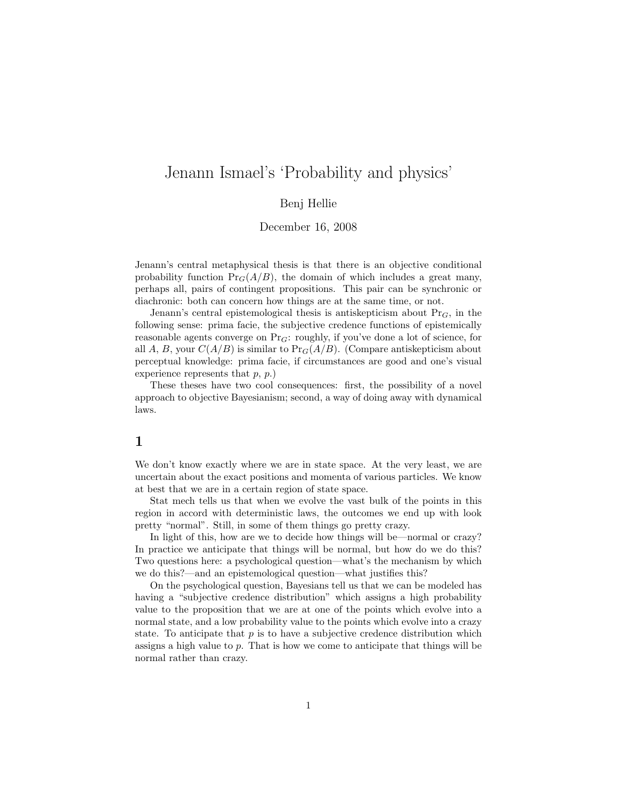## Jenann Ismael's 'Probability and physics'

Benj Hellie

December 16, 2008

Jenann's central metaphysical thesis is that there is an objective conditional probability function  $Pr_G(A/B)$ , the domain of which includes a great many, perhaps all, pairs of contingent propositions. This pair can be synchronic or diachronic: both can concern how things are at the same time, or not.

Jenann's central epistemological thesis is antiskepticism about  $Pr_G$ , in the following sense: prima facie, the subjective credence functions of epistemically reasonable agents converge on  $Pr_G$ : roughly, if you've done a lot of science, for all A, B, your  $C(A/B)$  is similar to  $Pr_G(A/B)$ . (Compare antiskepticism about perceptual knowledge: prima facie, if circumstances are good and one's visual experience represents that  $p, p$ .

These theses have two cool consequences: first, the possibility of a novel approach to objective Bayesianism; second, a way of doing away with dynamical laws.

## 1

We don't know exactly where we are in state space. At the very least, we are uncertain about the exact positions and momenta of various particles. We know at best that we are in a certain region of state space.

Stat mech tells us that when we evolve the vast bulk of the points in this region in accord with deterministic laws, the outcomes we end up with look pretty "normal". Still, in some of them things go pretty crazy.

In light of this, how are we to decide how things will be—normal or crazy? In practice we anticipate that things will be normal, but how do we do this? Two questions here: a psychological question—what's the mechanism by which we do this?—and an epistemological question—what justifies this?

On the psychological question, Bayesians tell us that we can be modeled has having a "subjective credence distribution" which assigns a high probability value to the proposition that we are at one of the points which evolve into a normal state, and a low probability value to the points which evolve into a crazy state. To anticipate that  $p$  is to have a subjective credence distribution which assigns a high value to  $p$ . That is how we come to anticipate that things will be normal rather than crazy.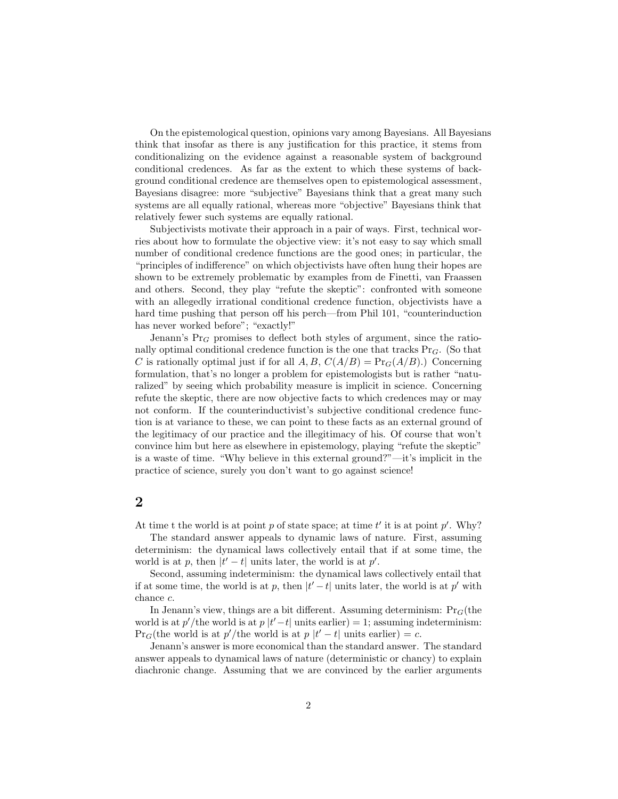On the epistemological question, opinions vary among Bayesians. All Bayesians think that insofar as there is any justification for this practice, it stems from conditionalizing on the evidence against a reasonable system of background conditional credences. As far as the extent to which these systems of background conditional credence are themselves open to epistemological assessment, Bayesians disagree: more "subjective" Bayesians think that a great many such systems are all equally rational, whereas more "objective" Bayesians think that relatively fewer such systems are equally rational.

Subjectivists motivate their approach in a pair of ways. First, technical worries about how to formulate the objective view: it's not easy to say which small number of conditional credence functions are the good ones; in particular, the "principles of indifference" on which objectivists have often hung their hopes are shown to be extremely problematic by examples from de Finetti, van Fraassen and others. Second, they play "refute the skeptic": confronted with someone with an allegedly irrational conditional credence function, objectivists have a hard time pushing that person off his perch—from Phil 101, "counterinduction has never worked before"; "exactly!"

Jenann's  $Pr_G$  promises to deflect both styles of argument, since the rationally optimal conditional credence function is the one that tracks  $Pr_G$ . (So that C is rationally optimal just if for all A, B,  $C(A/B) = Pr_G(A/B)$ .) Concerning formulation, that's no longer a problem for epistemologists but is rather "naturalized" by seeing which probability measure is implicit in science. Concerning refute the skeptic, there are now objective facts to which credences may or may not conform. If the counterinductivist's subjective conditional credence function is at variance to these, we can point to these facts as an external ground of the legitimacy of our practice and the illegitimacy of his. Of course that won't convince him but here as elsewhere in epistemology, playing "refute the skeptic" is a waste of time. "Why believe in this external ground?"—it's implicit in the practice of science, surely you don't want to go against science!

## 2

At time t the world is at point p of state space; at time  $t'$  it is at point  $p'$ . Why?

The standard answer appeals to dynamic laws of nature. First, assuming determinism: the dynamical laws collectively entail that if at some time, the world is at p, then  $|t'-t|$  units later, the world is at p'.

Second, assuming indeterminism: the dynamical laws collectively entail that if at some time, the world is at p, then  $|t'-t|$  units later, the world is at p' with chance c.

In Jenann's view, things are a bit different. Assuming determinism:  $Pr_G$ (the world is at  $p'/$ the world is at  $p |t'-t|$  units earlier) = 1; assuming indeterminism:  $Pr_G$ (the world is at  $p'/$ the world is at  $p \mid t'-t|$  units earlier) = c.

Jenann's answer is more economical than the standard answer. The standard answer appeals to dynamical laws of nature (deterministic or chancy) to explain diachronic change. Assuming that we are convinced by the earlier arguments